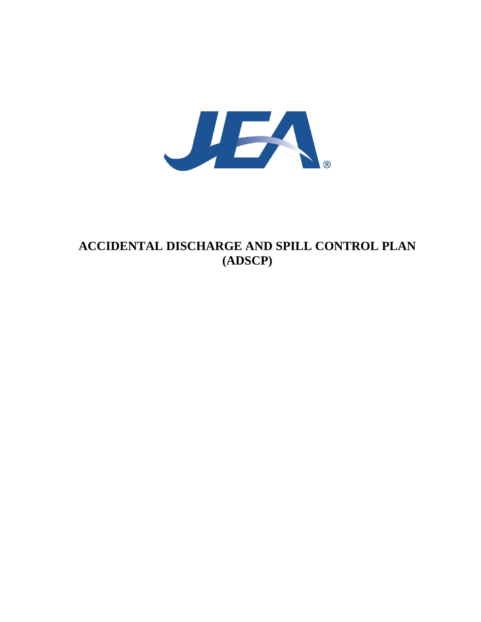

## **ACCIDENTAL DISCHARGE AND SPILL CONTROL PLAN (ADSCP)**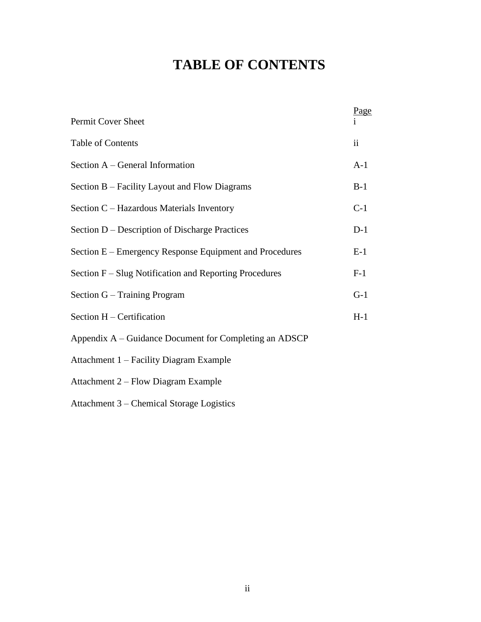# **TABLE OF CONTENTS**

| Permit Cover Sheet                                      | Page  |
|---------------------------------------------------------|-------|
| Table of Contents                                       | ii    |
| Section A – General Information                         | $A-1$ |
| Section B – Facility Layout and Flow Diagrams           | $B-1$ |
| Section C – Hazardous Materials Inventory               | $C-1$ |
| Section D – Description of Discharge Practices          | $D-1$ |
| Section E – Emergency Response Equipment and Procedures | $E-1$ |
| Section F – Slug Notification and Reporting Procedures  | $F-1$ |
| Section G – Training Program                            | $G-1$ |
| Section H - Certification                               | $H-1$ |
| Appendix A – Guidance Document for Completing an ADSCP  |       |
| Attachment 1 – Facility Diagram Example                 |       |
| Attachment 2 – Flow Diagram Example                     |       |
|                                                         |       |

Attachment 3 – Chemical Storage Logistics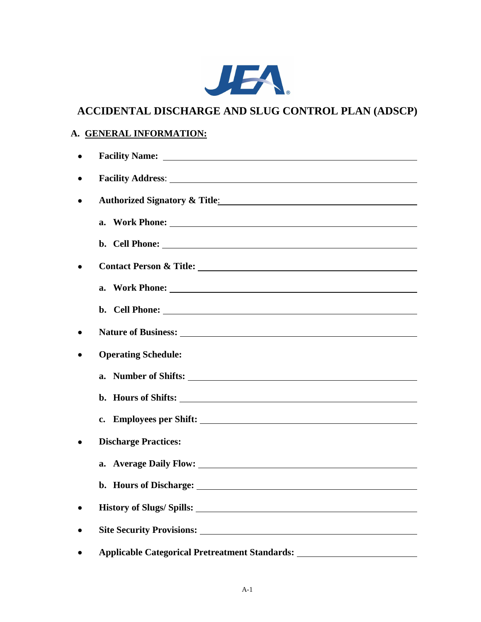

## **ACCIDENTAL DISCHARGE AND SLUG CONTROL PLAN (ADSCP)**

## **A. GENERAL INFORMATION:**

|           | <b>Facility Name:</b>                                                                                                                                                                                                                |
|-----------|--------------------------------------------------------------------------------------------------------------------------------------------------------------------------------------------------------------------------------------|
| ٠         |                                                                                                                                                                                                                                      |
| ٠         |                                                                                                                                                                                                                                      |
|           |                                                                                                                                                                                                                                      |
|           |                                                                                                                                                                                                                                      |
|           |                                                                                                                                                                                                                                      |
|           |                                                                                                                                                                                                                                      |
|           | b. Cell Phone:                                                                                                                                                                                                                       |
|           |                                                                                                                                                                                                                                      |
|           |                                                                                                                                                                                                                                      |
|           | <b>Operating Schedule:</b>                                                                                                                                                                                                           |
|           | a. Number of Shifts:                                                                                                                                                                                                                 |
|           | b. Hours of Shifts:                                                                                                                                                                                                                  |
|           |                                                                                                                                                                                                                                      |
|           | <b>Discharge Practices:</b>                                                                                                                                                                                                          |
|           | a. Average Daily Flow: 1986. The Contract of the Contract of the Contract of the Contract of the Contract of the Contract of the Contract of the Contract of the Contract of the Contract of the Contract of the Contract of t       |
|           | b. Hours of Discharge: <u>contract the contract of the set of the set of the set of the set of the set of the set of the set of the set of the set of the set of the set of the set of the set of the set of the set of the set </u> |
| $\bullet$ |                                                                                                                                                                                                                                      |
| ٠         |                                                                                                                                                                                                                                      |
|           |                                                                                                                                                                                                                                      |
|           | Applicable Categorical Pretreatment Standards: _________________________________                                                                                                                                                     |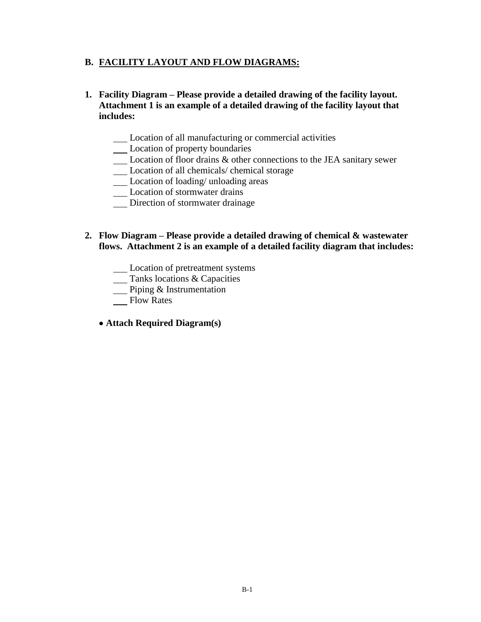### **B. FACILITY LAYOUT AND FLOW DIAGRAMS:**

- **1. Facility Diagram – Please provide a detailed drawing of the facility layout. Attachment 1 is an example of a detailed drawing of the facility layout that includes:**
	- Location of all manufacturing or commercial activities
	- Location of property boundaries
	- Location of floor drains & other connections to the JEA sanitary sewer
	- Location of all chemicals/ chemical storage
	- Location of loading/ unloading areas
	- Location of stormwater drains
	- Direction of stormwater drainage

#### **2. Flow Diagram – Please provide a detailed drawing of chemical & wastewater flows. Attachment 2 is an example of a detailed facility diagram that includes:**

- Location of pretreatment systems
- **Tanks locations & Capacities**
- **Piping & Instrumentation**
- Flow Rates
- **Attach Required Diagram(s)**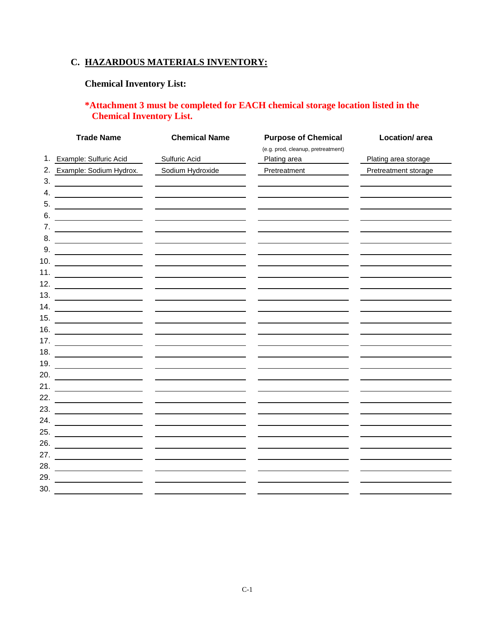## **C. HAZARDOUS MATERIALS INVENTORY:**

## **Chemical Inventory List:**

## **\*Attachment 3 must be completed for EACH chemical storage location listed in the Chemical Inventory List.**

|     | <b>Trade Name</b>                                               | <b>Chemical Name</b> | <b>Purpose of Chemical</b>         | Location/ area       |
|-----|-----------------------------------------------------------------|----------------------|------------------------------------|----------------------|
|     |                                                                 |                      | (e.g. prod, cleanup, pretreatment) |                      |
| 1.  | Example: Sulfuric Acid                                          | Sulfuric Acid        | Plating area                       | Plating area storage |
|     | 2. Example: Sodium Hydrox.                                      | Sodium Hydroxide     | Pretreatment                       | Pretreatment storage |
| 3.  |                                                                 |                      |                                    |                      |
| 4.  |                                                                 |                      |                                    |                      |
| 5.  |                                                                 |                      |                                    |                      |
| 6.  |                                                                 |                      |                                    |                      |
| 7.  |                                                                 |                      |                                    |                      |
| 8.  | <u> 1989 - Johann Barbara, martxa a shekara 1989 - An</u>       |                      |                                    |                      |
| 9.  |                                                                 |                      |                                    |                      |
| 10. |                                                                 |                      |                                    |                      |
| 11. | <u> 1990 - Andrea Station, professor a</u>                      |                      |                                    |                      |
| 12. |                                                                 |                      |                                    |                      |
| 13. |                                                                 |                      |                                    |                      |
| 14. |                                                                 |                      |                                    |                      |
| 15. |                                                                 |                      |                                    |                      |
| 16. |                                                                 |                      |                                    |                      |
| 17. |                                                                 |                      |                                    |                      |
| 18. | <u> 1989 - Johann Barbara, martin d</u>                         |                      |                                    |                      |
| 19. | <u> 1980 - Johann Barn, mars an t-Amerikaansk kommunister (</u> |                      |                                    |                      |
| 20. |                                                                 |                      |                                    |                      |
| 21. | <u> 1989 - Johann Barbara, martin eta politikar</u>             |                      |                                    |                      |
| 22. |                                                                 |                      |                                    |                      |
| 23. |                                                                 |                      |                                    |                      |
| 24. |                                                                 |                      |                                    |                      |
| 25. |                                                                 |                      |                                    |                      |
| 26. |                                                                 |                      |                                    |                      |
| 27. |                                                                 |                      |                                    |                      |
| 28. |                                                                 |                      |                                    |                      |
| 29. |                                                                 |                      |                                    |                      |
| 30. |                                                                 |                      |                                    |                      |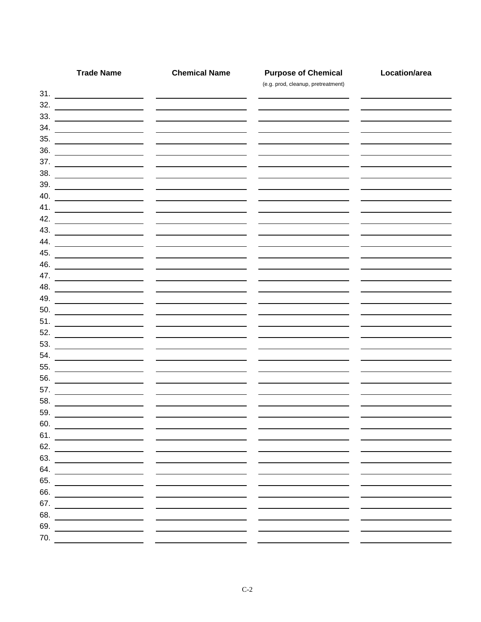|     | <b>Trade Name</b>                                                                                                                                                                                                                  | <b>Chemical Name</b>              | <b>Purpose of Chemical</b><br>(e.g. prod, cleanup, pretreatment) | Location/area |
|-----|------------------------------------------------------------------------------------------------------------------------------------------------------------------------------------------------------------------------------------|-----------------------------------|------------------------------------------------------------------|---------------|
|     |                                                                                                                                                                                                                                    |                                   |                                                                  |               |
|     | $\begin{array}{c}\n 32. \ \end{array}$                                                                                                                                                                                             |                                   |                                                                  |               |
| 33. |                                                                                                                                                                                                                                    |                                   |                                                                  |               |
|     |                                                                                                                                                                                                                                    |                                   |                                                                  |               |
|     |                                                                                                                                                                                                                                    |                                   |                                                                  |               |
| 36. |                                                                                                                                                                                                                                    |                                   |                                                                  |               |
| 37. | <u> Albanya (Albanya) a shekara tsa a shekara tsa a shekara tsa a shekara tsa a shekara tsa a shekara tsa a sheka</u>                                                                                                              |                                   |                                                                  |               |
| 38. |                                                                                                                                                                                                                                    |                                   |                                                                  |               |
|     | $\begin{array}{c}\n 39. \\ - \end{array}$                                                                                                                                                                                          |                                   |                                                                  |               |
|     | $40.$ $\overline{\phantom{}}$                                                                                                                                                                                                      |                                   |                                                                  |               |
| 41. |                                                                                                                                                                                                                                    |                                   |                                                                  |               |
| 42. |                                                                                                                                                                                                                                    |                                   |                                                                  |               |
| 43. |                                                                                                                                                                                                                                    |                                   |                                                                  |               |
|     | 44.                                                                                                                                                                                                                                |                                   |                                                                  |               |
|     | 45.                                                                                                                                                                                                                                |                                   |                                                                  |               |
| 46. |                                                                                                                                                                                                                                    |                                   |                                                                  |               |
| 47. |                                                                                                                                                                                                                                    |                                   |                                                                  |               |
| 48. | <u> 2002 - John Stone, Amerikan besteht der Stone (</u>                                                                                                                                                                            |                                   |                                                                  |               |
|     |                                                                                                                                                                                                                                    |                                   |                                                                  |               |
| 50. |                                                                                                                                                                                                                                    |                                   |                                                                  |               |
| 51. |                                                                                                                                                                                                                                    |                                   |                                                                  |               |
| 52. |                                                                                                                                                                                                                                    |                                   |                                                                  |               |
|     |                                                                                                                                                                                                                                    |                                   |                                                                  |               |
|     |                                                                                                                                                                                                                                    | <b>Contract Contract Contract</b> |                                                                  |               |
| 55. | <u> 1980 - Johann Barn, mars an t-Amerikaansk kommunister (</u>                                                                                                                                                                    |                                   |                                                                  |               |
| 56. | <u> 1989 - Johann Barn, mars ann an t-Amhair an t-Amhair an t-Amhair an t-Amhair an t-Amhair an t-Amhair an t-Amh</u>                                                                                                              |                                   |                                                                  |               |
| 57. |                                                                                                                                                                                                                                    |                                   |                                                                  |               |
| 58. |                                                                                                                                                                                                                                    |                                   |                                                                  |               |
| 59. |                                                                                                                                                                                                                                    |                                   |                                                                  |               |
| 60. |                                                                                                                                                                                                                                    |                                   |                                                                  |               |
|     | <b>61. Contract Contract Contract Contract Contract Contract Contract Contract Contract Contract Contract Contract Contract Contract Contract Contract Contract Contract Contract Contract Contract Contract Contract Contract</b> |                                   |                                                                  |               |
| 62. |                                                                                                                                                                                                                                    |                                   |                                                                  |               |
| 63. |                                                                                                                                                                                                                                    |                                   |                                                                  |               |
| 64. |                                                                                                                                                                                                                                    |                                   |                                                                  |               |
| 65. |                                                                                                                                                                                                                                    |                                   |                                                                  |               |
| 66. |                                                                                                                                                                                                                                    |                                   |                                                                  |               |
| 67. |                                                                                                                                                                                                                                    |                                   |                                                                  |               |
| 68. |                                                                                                                                                                                                                                    |                                   |                                                                  |               |
| 69. |                                                                                                                                                                                                                                    |                                   |                                                                  |               |
| 70. |                                                                                                                                                                                                                                    |                                   |                                                                  |               |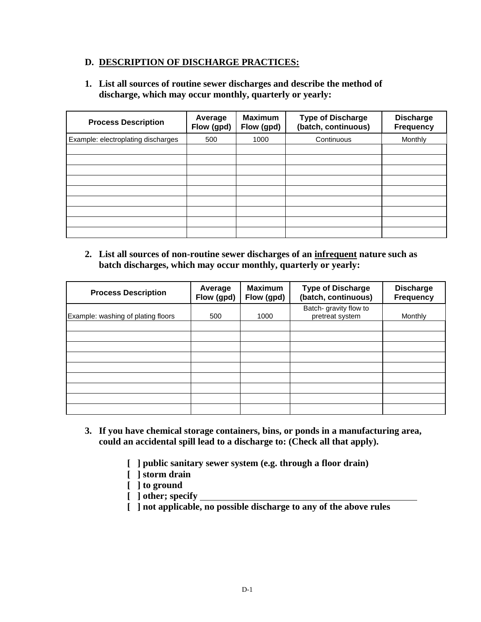### **D. DESCRIPTION OF DISCHARGE PRACTICES:**

#### **1. List all sources of routine sewer discharges and describe the method of discharge, which may occur monthly, quarterly or yearly:**

| <b>Process Description</b>         | Average<br>Flow (gpd) | <b>Maximum</b><br>Flow (gpd) | <b>Type of Discharge</b><br>(batch, continuous) | <b>Discharge</b><br><b>Frequency</b> |
|------------------------------------|-----------------------|------------------------------|-------------------------------------------------|--------------------------------------|
| Example: electroplating discharges | 500                   | 1000                         | Continuous                                      | Monthly                              |
|                                    |                       |                              |                                                 |                                      |
|                                    |                       |                              |                                                 |                                      |
|                                    |                       |                              |                                                 |                                      |
|                                    |                       |                              |                                                 |                                      |
|                                    |                       |                              |                                                 |                                      |
|                                    |                       |                              |                                                 |                                      |
|                                    |                       |                              |                                                 |                                      |
|                                    |                       |                              |                                                 |                                      |
|                                    |                       |                              |                                                 |                                      |

**2. List all sources of non-routine sewer discharges of an infrequent nature such as batch discharges, which may occur monthly, quarterly or yearly:**

| <b>Process Description</b>         | Average<br>Flow (gpd) | <b>Maximum</b><br>Flow (gpd) | <b>Type of Discharge</b><br>(batch, continuous) | <b>Discharge</b><br><b>Frequency</b> |
|------------------------------------|-----------------------|------------------------------|-------------------------------------------------|--------------------------------------|
| Example: washing of plating floors | 500                   | 1000                         | Batch- gravity flow to<br>pretreat system       | Monthly                              |
|                                    |                       |                              |                                                 |                                      |
|                                    |                       |                              |                                                 |                                      |
|                                    |                       |                              |                                                 |                                      |
|                                    |                       |                              |                                                 |                                      |
|                                    |                       |                              |                                                 |                                      |
|                                    |                       |                              |                                                 |                                      |
|                                    |                       |                              |                                                 |                                      |
|                                    |                       |                              |                                                 |                                      |

- **3. If you have chemical storage containers, bins, or ponds in a manufacturing area, could an accidental spill lead to a discharge to: (Check all that apply).**
	- **[ ] public sanitary sewer system (e.g. through a floor drain)**
	- **[ ] storm drain**
	- **[ ] to ground**
	- **[ ] other; specify**
	- **[ ] not applicable, no possible discharge to any of the above rules**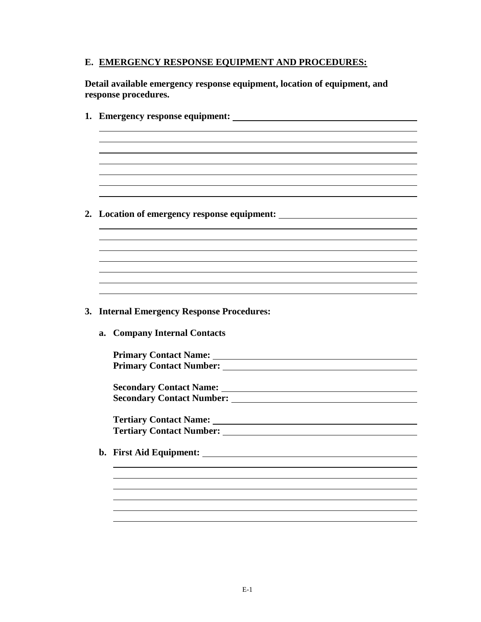## **E. EMERGENCY RESPONSE EQUIPMENT AND PROCEDURES:**

**Detail available emergency response equipment, location of equipment, and response procedures.**

|  | 2. Location of emergency response equipment:                                                                                                                                                                                        |
|--|-------------------------------------------------------------------------------------------------------------------------------------------------------------------------------------------------------------------------------------|
|  |                                                                                                                                                                                                                                     |
|  |                                                                                                                                                                                                                                     |
|  |                                                                                                                                                                                                                                     |
|  |                                                                                                                                                                                                                                     |
|  |                                                                                                                                                                                                                                     |
|  |                                                                                                                                                                                                                                     |
|  |                                                                                                                                                                                                                                     |
|  | 3. Internal Emergency Response Procedures:                                                                                                                                                                                          |
|  | a. Company Internal Contacts                                                                                                                                                                                                        |
|  |                                                                                                                                                                                                                                     |
|  |                                                                                                                                                                                                                                     |
|  |                                                                                                                                                                                                                                     |
|  |                                                                                                                                                                                                                                     |
|  |                                                                                                                                                                                                                                     |
|  |                                                                                                                                                                                                                                     |
|  |                                                                                                                                                                                                                                     |
|  | <b>Tertiary Contact Number:</b> The Contract Section of the Contract Section 1.1 and 2.1 and 2.1 and 2.1 and 2.1 and 2.1 and 2.1 and 2.1 and 2.1 and 2.1 and 2.1 and 2.1 and 2.1 and 2.1 and 2.1 and 2.1 and 2.1 and 2.1 and 2.1 an |
|  |                                                                                                                                                                                                                                     |
|  |                                                                                                                                                                                                                                     |
|  |                                                                                                                                                                                                                                     |
|  |                                                                                                                                                                                                                                     |
|  |                                                                                                                                                                                                                                     |
|  |                                                                                                                                                                                                                                     |
|  |                                                                                                                                                                                                                                     |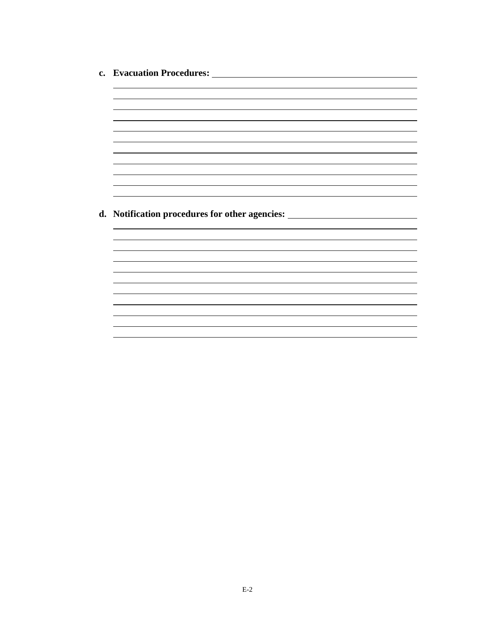**c. Evacuation Procedures:**  <u> 1980 - Johann Stoff, deutscher Stoff, der Stoff, der Stoff, der Stoff, der Stoff, der Stoff, der Stoff, der S</u> <u> 1989 - Johann Stoff, deutscher Stoffen und der Stoffen und der Stoffen und der Stoffen und der Stoffen und d</u> **d. Notification procedures for other agencies:**<u> 1989 - Johann Stoff, deutscher Stoffen und der Stoffen und der Stoffen und der Stoffen und der Stoffen und de</u> <u> 1989 - Johann Stoff, amerikansk politiker († 1908)</u>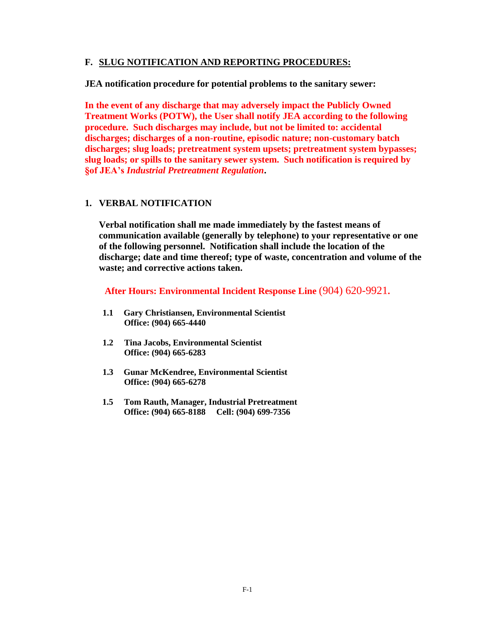#### **F. SLUG NOTIFICATION AND REPORTING PROCEDURES:**

**JEA notification procedure for potential problems to the sanitary sewer:**

**In the event of any discharge that may adversely impact the Publicly Owned Treatment Works (POTW), the User shall notify JEA according to the following procedure. Such discharges may include, but not be limited to: accidental discharges; discharges of a non-routine, episodic nature; non-customary batch discharges; slug loads; pretreatment system upsets; pretreatment system bypasses; slug loads; or spills to the sanitary sewer system. Such notification is required by §of JEA's** *Industrial Pretreatment Regulation***.** 

#### **1. VERBAL NOTIFICATION**

**Verbal notification shall me made immediately by the fastest means of communication available (generally by telephone) to your representative or one of the following personnel. Notification shall include the location of the discharge; date and time thereof; type of waste, concentration and volume of the waste; and corrective actions taken.** 

**After Hours: Environmental Incident Response Line** (904) 620-9921**.**

- **1.1 Gary Christiansen, Environmental Scientist Office: (904) 665-4440**
- **1.2 Tina Jacobs, Environmental Scientist Office: (904) 665-6283**
- **1.3 Gunar McKendree, Environmental Scientist Office: (904) 665-6278**
- **1.5 Tom Rauth, Manager, Industrial Pretreatment Office: (904) 665-8188 Cell: (904) 699-7356**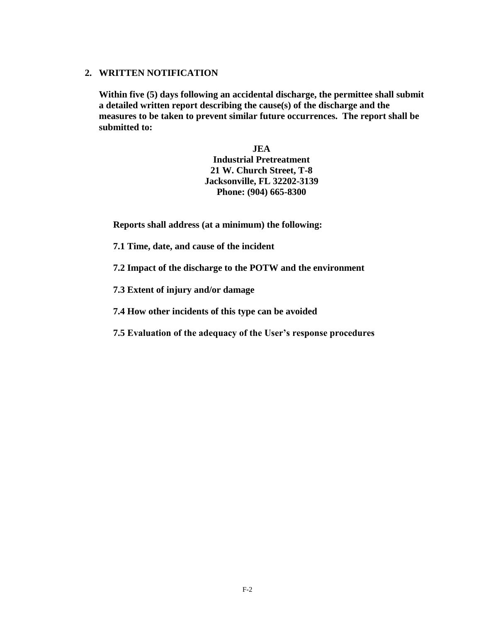#### **2. WRITTEN NOTIFICATION**

**Within five (5) days following an accidental discharge, the permittee shall submit a detailed written report describing the cause(s) of the discharge and the measures to be taken to prevent similar future occurrences. The report shall be submitted to:**

> **JEA Industrial Pretreatment 21 W. Church Street, T-8 Jacksonville, FL 32202-3139 Phone: (904) 665-8300**

**Reports shall address (at a minimum) the following:**

- **7.1 Time, date, and cause of the incident**
- **7.2 Impact of the discharge to the POTW and the environment**
- **7.3 Extent of injury and/or damage**
- **7.4 How other incidents of this type can be avoided**
- **7.5 Evaluation of the adequacy of the User's response procedures**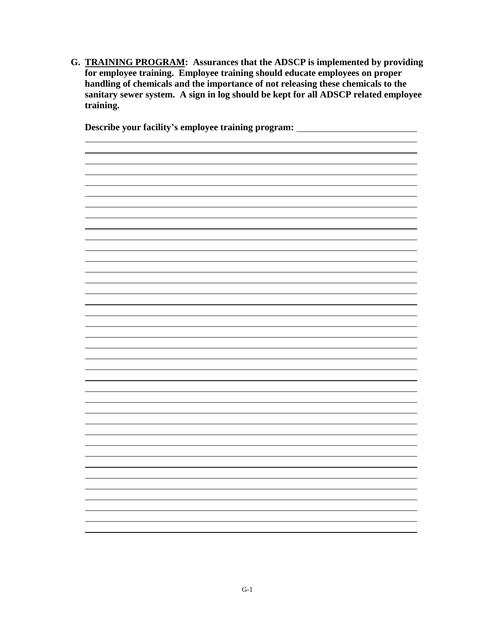**G. TRAINING PROGRAM: Assurances that the ADSCP is implemented by providing for employee training. Employee training should educate employees on proper handling of chemicals and the importance of not releasing these chemicals to the sanitary sewer system. A sign in log should be kept for all ADSCP related employee training.**

**Describe your facility's employee training program:**

<u> 1989 - Johann Stoff, amerikansk politiker (\* 1908)</u>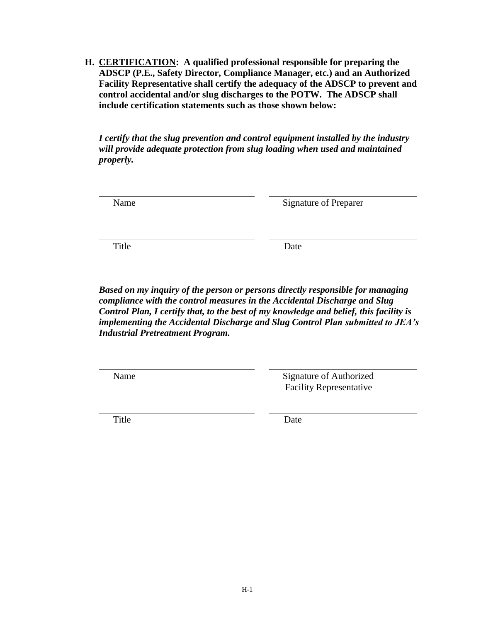**H. CERTIFICATION: A qualified professional responsible for preparing the ADSCP (P.E., Safety Director, Compliance Manager, etc.) and an Authorized Facility Representative shall certify the adequacy of the ADSCP to prevent and control accidental and/or slug discharges to the POTW. The ADSCP shall include certification statements such as those shown below:**

*I certify that the slug prevention and control equipment installed by the industry will provide adequate protection from slug loading when used and maintained properly.*

| Name | <b>Signature of Preparer</b> |
|------|------------------------------|
|      |                              |

Title Date

*Based on my inquiry of the person or persons directly responsible for managing compliance with the control measures in the Accidental Discharge and Slug Control Plan, I certify that, to the best of my knowledge and belief, this facility is implementing the Accidental Discharge and Slug Control Plan submitted to JEA's Industrial Pretreatment Program.*

 $\overline{a}$ 

Name Signature of Authorized Facility Representative

l,

Title Date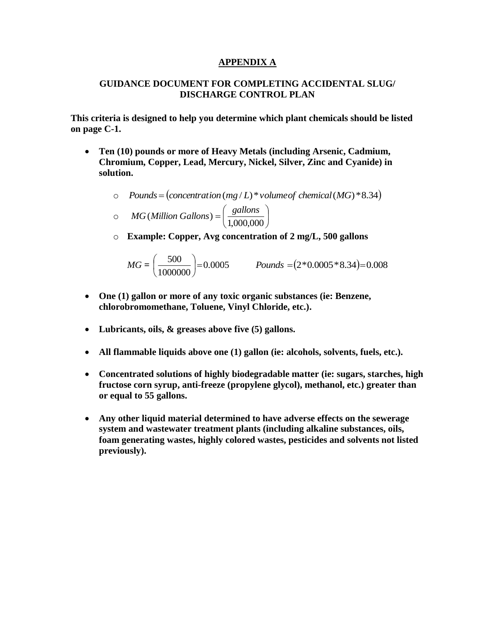#### **APPENDIX A**

#### **GUIDANCE DOCUMENT FOR COMPLETING ACCIDENTAL SLUG/ DISCHARGE CONTROL PLAN**

**This criteria is designed to help you determine which plant chemicals should be listed on page C-1.** 

- **Ten (10) pounds or more of Heavy Metals (including Arsenic, Cadmium, Chromium, Copper, Lead, Mercury, Nickel, Silver, Zinc and Cyanide) in solution.**
	- o *Pounds concentration*(*mg* / *L*)\**volumeof chemical*(*MG*)\*8.34

$$
\circ \qquad MG(Million\ Gallons) = \left(\frac{gallons}{1,000,000}\right)
$$

o **Example: Copper, Avg concentration of 2 mg/L, 500 gallons**

$$
MG = \left(\frac{500}{1000000}\right) = 0.0005
$$
 *Pounds* =  $(2 * 0.0005 * 8.34) = 0.008$ 

- **One (1) gallon or more of any toxic organic substances (ie: Benzene, chlorobromomethane, Toluene, Vinyl Chloride, etc.).**
- **Lubricants, oils, & greases above five (5) gallons.**
- **All flammable liquids above one (1) gallon (ie: alcohols, solvents, fuels, etc.).**
- **Concentrated solutions of highly biodegradable matter (ie: sugars, starches, high fructose corn syrup, anti-freeze (propylene glycol), methanol, etc.) greater than or equal to 55 gallons.**
- **Any other liquid material determined to have adverse effects on the sewerage system and wastewater treatment plants (including alkaline substances, oils, foam generating wastes, highly colored wastes, pesticides and solvents not listed previously).**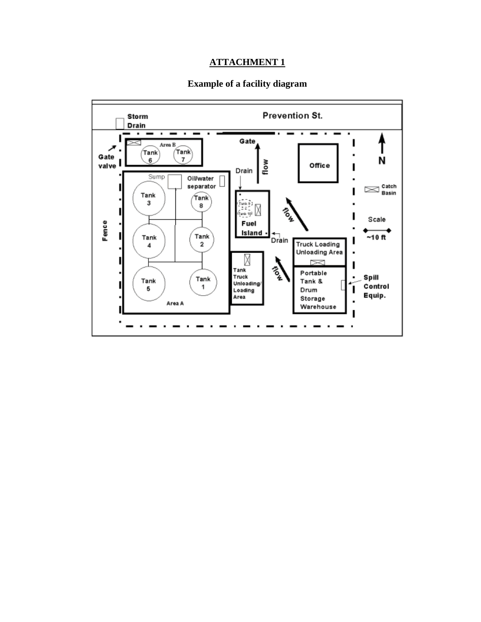## **ATTACHMENT 1**

#### **Example of a facility diagram**

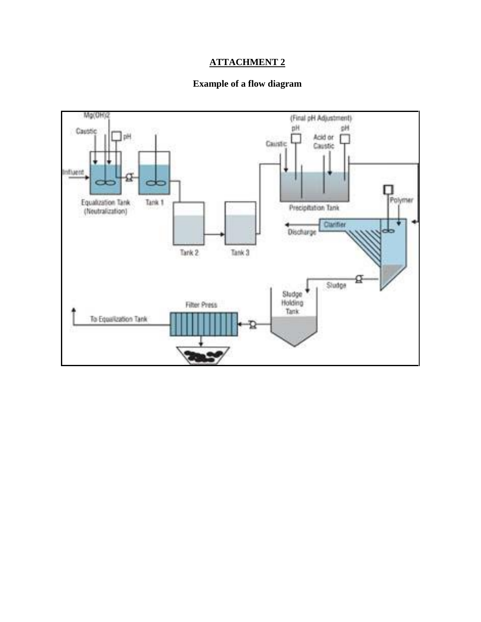## **ATTACHMENT 2**

## **Example of a flow diagram**